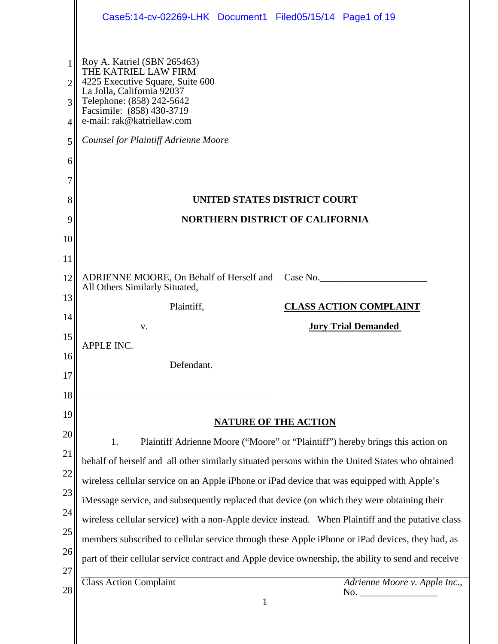|                                                                        | Case5:14-cv-02269-LHK Document1 Filed05/15/14 Page1 of 19                                                                                                                                                                                                                                     |                                                                                |  |
|------------------------------------------------------------------------|-----------------------------------------------------------------------------------------------------------------------------------------------------------------------------------------------------------------------------------------------------------------------------------------------|--------------------------------------------------------------------------------|--|
| 1<br>$\overline{2}$<br>$\overline{3}$<br>$\overline{4}$<br>5<br>6<br>7 | Roy A. Katriel (SBN 265463)<br>THE KATRIEL LAW FIRM<br>4225 Executive Square, Suite 600<br>La Jolla, California 92037<br>Telephone: (858) 242-5642<br>Facsimile: (858) 430-3719<br>e-mail: rak@katriellaw.com<br><b>Counsel for Plaintiff Adrienne Moore</b>                                  |                                                                                |  |
| 8                                                                      | UNITED STATES DISTRICT COURT                                                                                                                                                                                                                                                                  |                                                                                |  |
| 9                                                                      | <b>NORTHERN DISTRICT OF CALIFORNIA</b>                                                                                                                                                                                                                                                        |                                                                                |  |
| 10                                                                     |                                                                                                                                                                                                                                                                                               |                                                                                |  |
| 11                                                                     |                                                                                                                                                                                                                                                                                               |                                                                                |  |
| 12                                                                     | ADRIENNE MOORE, On Behalf of Herself and<br>All Others Similarly Situated,                                                                                                                                                                                                                    | Case No.                                                                       |  |
| 13                                                                     | Plaintiff,                                                                                                                                                                                                                                                                                    | <b>CLASS ACTION COMPLAINT</b>                                                  |  |
| 14                                                                     | V.                                                                                                                                                                                                                                                                                            | <b>Jury Trial Demanded</b>                                                     |  |
| 15                                                                     | <b>APPLE INC.</b>                                                                                                                                                                                                                                                                             |                                                                                |  |
| 16                                                                     | Defendant.                                                                                                                                                                                                                                                                                    |                                                                                |  |
| 17                                                                     |                                                                                                                                                                                                                                                                                               |                                                                                |  |
| 18<br>19                                                               |                                                                                                                                                                                                                                                                                               |                                                                                |  |
| 20                                                                     | <b>NATURE OF THE ACTION</b>                                                                                                                                                                                                                                                                   |                                                                                |  |
| 21                                                                     | 1.                                                                                                                                                                                                                                                                                            | Plaintiff Adrienne Moore ("Moore" or "Plaintiff") hereby brings this action on |  |
| 22                                                                     | behalf of herself and all other similarly situated persons within the United States who obtained<br>wireless cellular service on an Apple iPhone or iPad device that was equipped with Apple's<br>iMessage service, and subsequently replaced that device (on which they were obtaining their |                                                                                |  |
| 23                                                                     |                                                                                                                                                                                                                                                                                               |                                                                                |  |
| 24                                                                     |                                                                                                                                                                                                                                                                                               |                                                                                |  |
| 25                                                                     | wireless cellular service) with a non-Apple device instead. When Plaintiff and the putative class<br>members subscribed to cellular service through these Apple iPhone or iPad devices, they had, as                                                                                          |                                                                                |  |
| 26                                                                     |                                                                                                                                                                                                                                                                                               |                                                                                |  |
| 27                                                                     | part of their cellular service contract and Apple device ownership, the ability to send and receive                                                                                                                                                                                           |                                                                                |  |
|                                                                        | <b>Class Action Complaint</b>                                                                                                                                                                                                                                                                 | Adrienne Moore v. Apple Inc.,                                                  |  |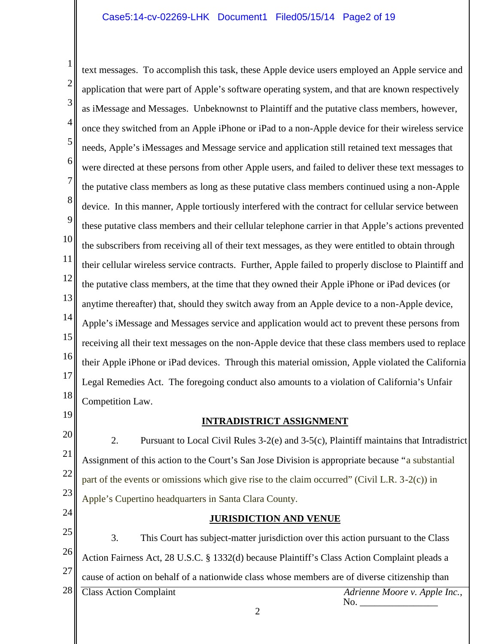#### Case5:14-cv-02269-LHK Document1 Filed05/15/14 Page2 of 19

<sup>1</sup> text messages. To accomplish this task, these Apple device users employed an Apple service and <sup>2</sup> application that were part of Apple's software operating system, and that are known respectively <sup>3</sup> as iMessage and Messages. Unbeknownst to Plaintiff and the putative class members, however, <sup>4</sup> once they switched from an Apple iPhone or iPad to a non-Apple device for their wireless service 5 needs, Apple's iMessages and Message service and application still retained text messages that <sup>6</sup> were directed at these persons from other Apple users, and failed to deliver these text messages to  $\vert$  $\frac{7}{10}$  the putative class members as long as these putative class members continued using a non-Apple <sup>8</sup> device. In this manner, Apple tortiously interfered with the contract for cellular service between <sup>9</sup> these putative class members and their cellular telephone carrier in that Apple's actions prevented <sup>10</sup> the subscribers from receiving all of their text messages, as they were entitled to obtain through <sup>11</sup> their cellular wireless service contracts. Further, Apple failed to properly disclose to Plaintiff and <sup>12</sup> the putative class members, at the time that they owned their Apple iPhone or iPad devices (or <sup>13</sup> anytime thereafter) that, should they switch away from an Apple device to a non-Apple device, 14 15 receiving all their text messages on the non-Apple device that these class members used to replace 16 their Apple iPhone or iPad devices. Through this material omission, Apple violated the California <sup>17</sup> Legal Remedies Act. The foregoing conduct also amounts to a violation of California's Unfair 18 Competition Law. 19 20 <sup>21</sup> Assignment of this action to the Court's San Jose Division is appropriate because "a substantial 22 part of the events or omissions which give rise to the claim occurred" (Civil L.R. 3-2(c)) in 23 Apple's Cupertino headquarters in Santa Clara County. Apple's iMessage and Messages service and application would act to prevent these persons from **INTRADISTRICT ASSIGNMENT** 2. Pursuant to Local Civil Rules 3-2(e) and 3-5(c), Plaintiff maintains that Intradistrict

24

## **JURISDICTION AND VENUE**

25 26 Action Fairness Act, 28 U.S.C. § 1332(d) because Plaintiff's Class Action Complaint pleads a  $27 \parallel$  cause of action on behalf of a nationwide class whose members are of diverse citizenship than 28 Class Action Complaint *Adrienne Moore v. Apple Inc.*, No. 3. This Court has subject-matter jurisdiction over this action pursuant to the Class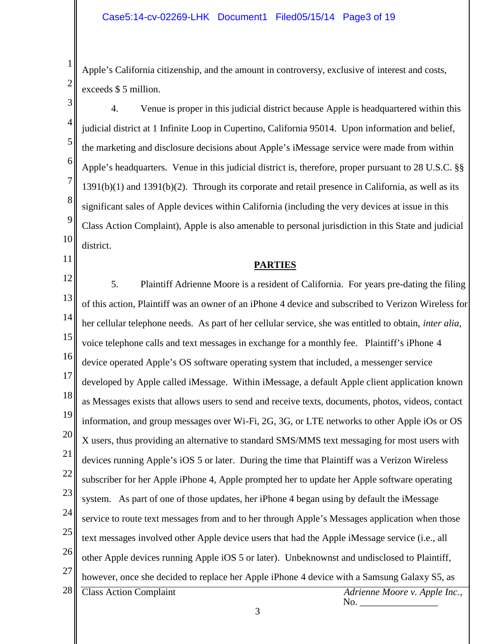3

11

<sup>1</sup> Apple's California citizenship, and the amount in controversy, exclusive of interest and costs,  $2 \parallel$  exceeds \$ 5 million.

<sup>4</sup> judicial district at 1 Infinite Loop in Cupertino, California 95014. Upon information and belief, <sup>5</sup> the marketing and disclosure decisions about Apple's iMessage service were made from within <sup>6</sup> Apple's headquarters. Venue in this judicial district is, therefore, proper pursuant to 28 U.S.C. §§  $7 \parallel 1391(b)(1)$  and 1391(b)(2). Through its corporate and retail presence in California, as well as its 8 significant sales of Apple devices within California (including the very devices at issue in this <sup>9</sup> Class Action Complaint), Apple is also amenable to personal jurisdiction in this State and judicial 10 district. 4. Venue is proper in this judicial district because Apple is headquartered within this

#### **PARTIES**

12 <sup>13</sup> of this action, Plaintiff was an owner of an iPhone 4 device and subscribed to Verizon Wireless for 14 her cellular telephone needs. As part of her cellular service, she was entitled to obtain, *inter alia*, <sup>15</sup> voice telephone calls and text messages in exchange for a monthly fee. Plaintiff's iPhone 4 16 device operated Apple's OS software operating system that included, a messenger service 17 developed by Apple called iMessage. Within iMessage, a default Apple client application known 18 as Messages exists that allows users to send and receive texts, documents, photos, videos, contact 19 information, and group messages over Wi-Fi, 2G, 3G, or LTE networks to other Apple iOs or OS  $20 \parallel X$  users, thus providing an alternative to standard SMS/MMS text messaging for most users with <sup>21</sup> devices running Apple's iOS 5 or later. During the time that Plaintiff was a Verizon Wireless 22 subscriber for her Apple iPhone 4, Apple prompted her to update her Apple software operating 23 system. As part of one of those updates, her iPhone 4 began using by default the iMessage <sup>24</sup> service to route text messages from and to her through Apple's Messages application when those 25 26 <sup>27</sup> however, once she decided to replace her Apple iPhone 4 device with a Samsung Galaxy S5, as 28 Class Action Complaint *Adrienne Moore v. Apple Inc.*, No. 5. Plaintiff Adrienne Moore is a resident of California. For years pre-dating the filing text messages involved other Apple device users that had the Apple iMessage service (i.e., all other Apple devices running Apple iOS 5 or later). Unbeknownst and undisclosed to Plaintiff,

3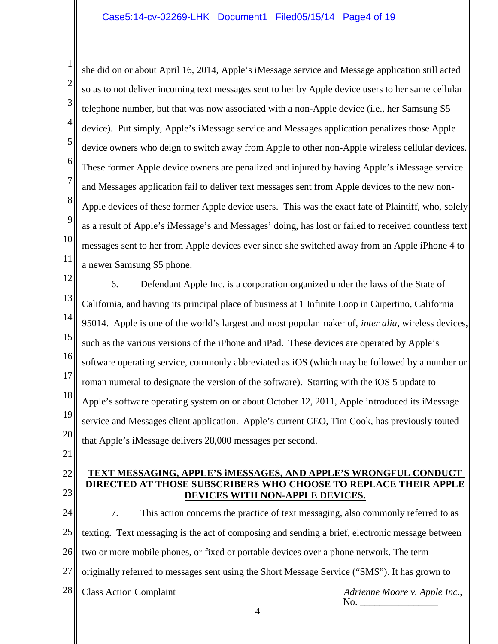<sup>1</sup> she did on or about April 16, 2014, Apple's iMessage service and Message application still acted <sup>2</sup> so as to not deliver incoming text messages sent to her by Apple device users to her same cellular <sup>3</sup> telephone number, but that was now associated with a non-Apple device (i.e., her Samsung S5 <sup>4</sup> device). Put simply, Apple's iMessage service and Messages application penalizes those Apple 5 device owners who deign to switch away from Apple to other non-Apple wireless cellular devices. 6 These former Apple device owners are penalized and injured by having Apple's iMessage service <sup>7</sup> and Messages application fail to deliver text messages sent from Apple devices to the new non-<sup>8</sup> Apple devices of these former Apple device users. This was the exact fate of Plaintiff, who, solely 9 as a result of Apple's iMessage's and Messages' doing, has lost or failed to received countless text <sup>10</sup> messages sent to her from Apple devices ever since she switched away from an Apple iPhone 4 to 11 a newer Samsung S5 phone.

12 <sup>13</sup> California, and having its principal place of business at 1 Infinite Loop in Cupertino, California 14 95014. Apple is one of the world's largest and most popular maker of, *inter alia*, wireless devices, 15 such as the various versions of the iPhone and iPad. These devices are operated by Apple's 16 software operating service, commonly abbreviated as iOS (which may be followed by a number or <sup>17</sup> roman numeral to designate the version of the software). Starting with the iOS 5 update to <sup>18</sup> Apple's software operating system on or about October 12, 2011, Apple introduced its iMessage 19 service and Messages client application. Apple's current CEO, Tim Cook, has previously touted 20 $\parallel$  that Apple's iMessage delivers 28,000 messages per second. 6. Defendant Apple Inc. is a corporation organized under the laws of the State of

- 21
- 23

#### 22 **TEXT MESSAGING, APPLE'S iMESSAGES, AND APPLE'S WRONGFUL CONDUCT DIRECTED AT THOSE SUBSCRIBERS WHO CHOOSE TO REPLACE THEIR APPLE DEVICES WITH NON-APPLE DEVICES.**

24 25 texting. Text messaging is the act of composing and sending a brief, electronic message between 26|| two or more mobile phones, or fixed or portable devices over a phone network. The term 27 originally referred to messages sent using the Short Message Service ("SMS"). It has grown to <sup>28</sup> Class Action Complaint *Adrienne Moore v. Apple Inc.*, No. \_\_\_\_\_\_\_\_\_\_\_\_\_\_\_\_ 7. This action concerns the practice of text messaging, also commonly referred to as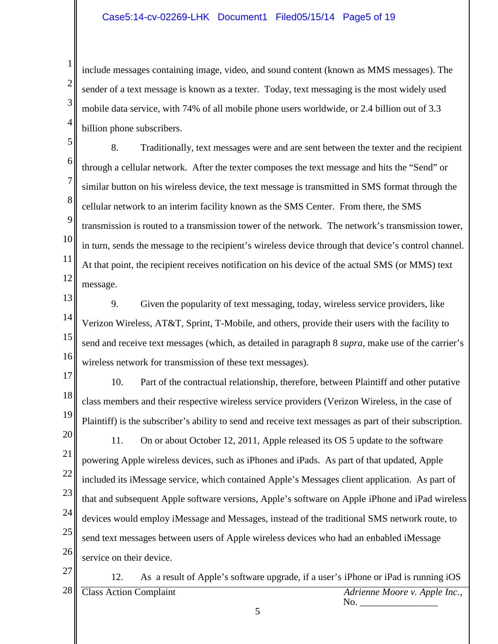#### Case5:14-cv-02269-LHK Document1 Filed05/15/14 Page5 of 19

<sup>1</sup> include messages containing image, video, and sound content (known as MMS messages). The  $2 \parallel$  sender of a text message is known as a texter. Today, text messaging is the most widely used <sup>3</sup> mobile data service, with 74% of all mobile phone users worldwide, or 2.4 billion out of 3.3 4 billion phone subscribers.

5 <sup>6</sup> through a cellular network. After the texter composes the text message and hits the "Send" or <sup>7</sup> similar button on his wireless device, the text message is transmitted in SMS format through the 8 cellular network to an interim facility known as the SMS Center. From there, the SMS  $9 \parallel$  transmission is routed to a transmission tower of the network. The network's transmission tower, <sup>10</sup> in turn, sends the message to the recipient's wireless device through that device's control channel.  $\begin{array}{c|c} \n\hline\n11 \n\end{array}$  At that point, the recipient receives notification on his device of the actual SMS (or MMS) text 12 message. 8. Traditionally, text messages were and are sent between the texter and the recipient

- 13 14 Verizon Wireless, AT&T, Sprint, T-Mobile, and others, provide their users with the facility to 15 send and receive text messages (which, as detailed in paragraph 8 *supra*, make use of the carrier's 16 wireless network for transmission of these text messages). 9. Given the popularity of text messaging, today, wireless service providers, like
- 17 18 class members and their respective wireless service providers (Verizon Wireless, in the case of <sup>19</sup> Plaintiff) is the subscriber's ability to send and receive text messages as part of their subscription. 20 10. Part of the contractual relationship, therefore, between Plaintiff and other putative 11. On or about October 12, 2011, Apple released its OS 5 update to the software
- 21 powering Apple wireless devices, such as iPhones and iPads. As part of that updated, Apple 22 included its iMessage service, which contained Apple's Messages client application. As part of 23 <sup>24</sup> devices would employ iMessage and Messages, instead of the traditional SMS network route, to 25 26 service on their device. that and subsequent Apple software versions, Apple's software on Apple iPhone and iPad wireless send text messages between users of Apple wireless devices who had an enbabled iMessage
	- 12. As a result of Apple's software upgrade, if a user's iPhone or iPad is running iOS
- 

27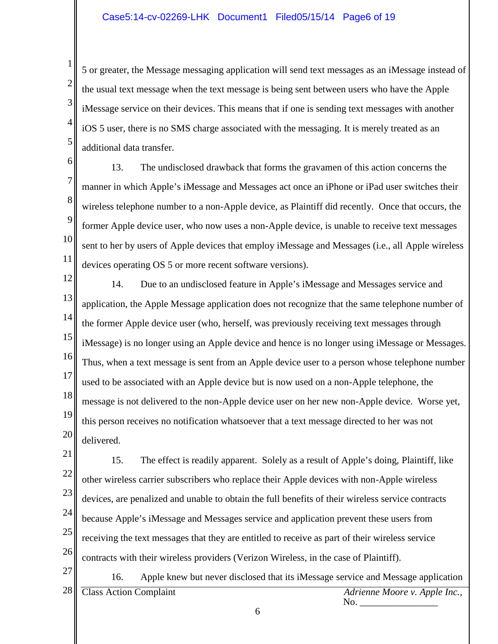$\frac{1}{5}$  5 or greater, the Message messaging application will send text messages as an iMessage instead of  $2 \parallel$  the usual text message when the text message is being sent between users who have the Apple <sup>3</sup> iMessage service on their devices. This means that if one is sending text messages with another  $\frac{4}{10}$  iOS 5 user, there is no SMS charge associated with the messaging. It is merely treated as an 5 additional data transfer.

6

7 manner in which Apple's iMessage and Messages act once an iPhone or iPad user switches their 8 wireless telephone number to a non-Apple device, as Plaintiff did recently. Once that occurs, the <sup>9</sup> former Apple device user, who now uses a non-Apple device, is unable to receive text messages 10 sent to her by users of Apple devices that employ iMessage and Messages (i.e., all Apple wireless 11 devices operating OS 5 or more recent software versions). 13. The undisclosed drawback that forms the gravamen of this action concerns the

12 <sup>13</sup> application, the Apple Message application does not recognize that the same telephone number of 14 15 iMessage) is no longer using an Apple device and hence is no longer using iMessage or Messages. 16 17 18 message is not delivered to the non-Apple device user on her new non-Apple device. Worse yet, 19 this person receives no notification whatsoever that a text message directed to her was not 20 delivered. 14. Due to an undisclosed feature in Apple's iMessage and Messages service and the former Apple device user (who, herself, was previously receiving text messages through Thus, when a text message is sent from an Apple device user to a person whose telephone number used to be associated with an Apple device but is now used on a non-Apple telephone, the

21 22 <sup>23</sup> devices, are penalized and unable to obtain the full benefits of their wireless service contracts 24 25 26 27 15. The effect is readily apparent. Solely as a result of Apple's doing, Plaintiff, like other wireless carrier subscribers who replace their Apple devices with non-Apple wireless because Apple's iMessage and Messages service and application prevent these users from receiving the text messages that they are entitled to receive as part of their wireless service contracts with their wireless providers (Verizon Wireless, in the case of Plaintiff).

<sup>28</sup> Class Action Complaint *Adrienne Moore v. Apple Inc.*, No. \_\_\_\_\_\_\_\_\_\_\_\_\_\_\_\_ 16. Apple knew but never disclosed that its iMessage service and Message application

6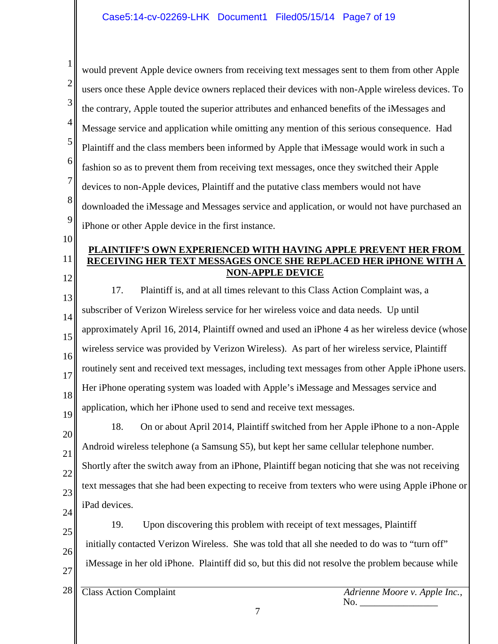<sup>1</sup> would prevent Apple device owners from receiving text messages sent to them from other Apple <sup>2</sup> users once these Apple device owners replaced their devices with non-Apple wireless devices. To <sup>3</sup> the contrary, Apple touted the superior attributes and enhanced benefits of the iMessages and <sup>4</sup> Message service and application while omitting any mention of this serious consequence. Had <sup>5</sup> Plaintiff and the class members been informed by Apple that iMessage would work in such a <sup>6</sup> fashion so as to prevent them from receiving text messages, once they switched their Apple <sup>7</sup> devices to non-Apple devices, Plaintiff and the putative class members would not have 8 downloaded the iMessage and Messages service and application, or would not have purchased an 9 iPhone or other Apple device in the first instance. 10

- 
- 12

#### 11 **RECEIVING HER TEXT MESSAGES ONCE SHE REPLACED HER iPHONE WITH A PLAINTIFF'S OWN EXPERIENCED WITH HAVING APPLE PREVENT HER FROM NON-APPLE DEVICE**

13 14 15 16 17 18 19 17. Plaintiff is, and at all times relevant to this Class Action Complaint was, a subscriber of Verizon Wireless service for her wireless voice and data needs. Up until approximately April 16, 2014, Plaintiff owned and used an iPhone 4 as her wireless device (whose wireless service was provided by Verizon Wireless). As part of her wireless service, Plaintiff routinely sent and received text messages, including text messages from other Apple iPhone users. Her iPhone operating system was loaded with Apple's iMessage and Messages service and application, which her iPhone used to send and receive text messages.

20 21 22 23 24 18. On or about April 2014, Plaintiff switched from her Apple iPhone to a non-Apple Android wireless telephone (a Samsung S5), but kept her same cellular telephone number. Shortly after the switch away from an iPhone, Plaintiff began noticing that she was not receiving text messages that she had been expecting to receive from texters who were using Apple iPhone or iPad devices.

25 26 27 19. Upon discovering this problem with receipt of text messages, Plaintiff initially contacted Verizon Wireless. She was told that all she needed to do was to "turn off" iMessage in her old iPhone. Plaintiff did so, but this did not resolve the problem because while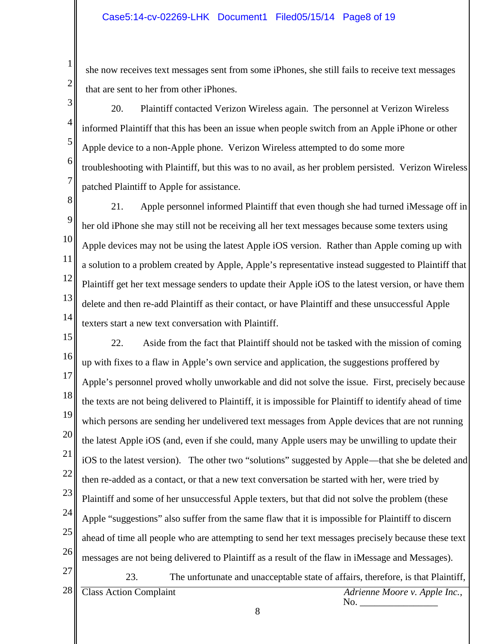3

<sup>1</sup> she now receives text messages sent from some iPhones, she still fails to receive text messages <sup>2</sup> that are sent to her from other iPhones.

<sup>4</sup> informed Plaintiff that this has been an issue when people switch from an Apple iPhone or other 5 Apple device to a non-Apple phone. Verizon Wireless attempted to do some more <sup>6</sup> troubleshooting with Plaintiff, but this was to no avail, as her problem persisted. Verizon Wireless 7 patched Plaintiff to Apple for assistance. 20. Plaintiff contacted Verizon Wireless again. The personnel at Verizon Wireless

8 9 her old iPhone she may still not be receiving all her text messages because some texters using <sup>10</sup> Apple devices may not be using the latest Apple iOS version. Rather than Apple coming up with <sup>11</sup> a solution to a problem created by Apple, Apple's representative instead suggested to Plaintiff that <sup>12</sup> Plaintiff get her text message senders to update their Apple iOS to the latest version, or have them <sup>13</sup> delete and then re-add Plaintiff as their contact, or have Plaintiff and these unsuccessful Apple 14 texters start a new text conversation with Plaintiff. 21. Apple personnel informed Plaintiff that even though she had turned iMessage off in

15 <sup>16</sup> up with fixes to a flaw in Apple's own service and application, the suggestions proffered by <sup>17</sup> Apple's personnel proved wholly unworkable and did not solve the issue. First, precisely because <sup>18</sup> the texts are not being delivered to Plaintiff, it is impossible for Plaintiff to identify ahead of time <sup>19</sup> which persons are sending her undelivered text messages from Apple devices that are not running 20 the latest Apple iOS (and, even if she could, many Apple users may be unwilling to update their <sup>21</sup> iOS to the latest version). The other two "solutions" suggested by Apple—that she be deleted and <sup>22</sup> then re-added as a contact, or that a new text conversation be started with her, were tried by 23 <sup>24</sup> Apple "suggestions" also suffer from the same flaw that it is impossible for Plaintiff to discern 25 26 27 22. Aside from the fact that Plaintiff should not be tasked with the mission of coming Plaintiff and some of her unsuccessful Apple texters, but that did not solve the problem (these ahead of time all people who are attempting to send her text messages precisely because these text messages are not being delivered to Plaintiff as a result of the flaw in iMessage and Messages).

28 Class Action Complaint *Adrienne Moore v. Apple Inc.*, No. 23. The unfortunate and unacceptable state of affairs, therefore, is that Plaintiff,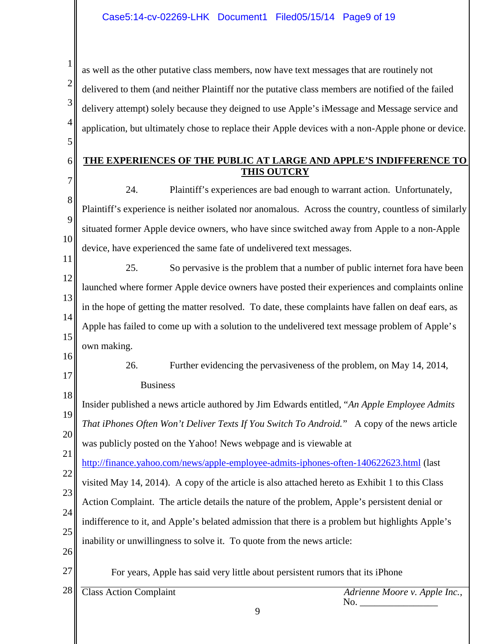<sup>1</sup> as well as the other putative class members, now have text messages that are routinely not  $2 \parallel$  delivered to them (and neither Plaintiff nor the putative class members are notified of the failed <sup>3</sup> delivery attempt) solely because they deigned to use Apple's iMessage and Message service and <sup>4</sup> application, but ultimately chose to replace their Apple devices with a non-Apple phone or device.

5

17

## 6 **THE EXPERIENCES OF THE PUBLIC AT LARGE AND APPLE'S INDIFFERENCE TO THIS OUTCRY**

7 8 9 10 24. Plaintiff's experiences are bad enough to warrant action. Unfortunately, Plaintiff's experience is neither isolated nor anomalous. Across the country, countless of similarly situated former Apple device owners, who have since switched away from Apple to a non-Apple device, have experienced the same fate of undelivered text messages.

11 12 13 14 15 16 25. So pervasive is the problem that a number of public internet fora have been launched where former Apple device owners have posted their experiences and complaints online in the hope of getting the matter resolved. To date, these complaints have fallen on deaf ears, as Apple has failed to come up with a solution to the undelivered text message problem of Apple's own making.

26. Further evidencing the pervasiveness of the problem, on May 14, 2014, **Business** 

18 19 20 21 Insider published a news article authored by Jim Edwards entitled, "*An Apple Employee Admits That iPhones Often Won't Deliver Texts If You Switch To Android.*" A copy of the news article was publicly posted on the Yahoo! News webpage and is viewable at http://finance.yahoo.com/news/apple-employee-admits-iphones-often-140622623.html (last

22 23 24 25 26 visited May 14, 2014). A copy of the article is also attached hereto as Exhibit 1 to this Class Action Complaint. The article details the nature of the problem, Apple's persistent denial or indifference to it, and Apple's belated admission that there is a problem but highlights Apple's inability or unwillingness to solve it. To quote from the news article:

27 For years, Apple has said very little about persistent rumors that its iPhone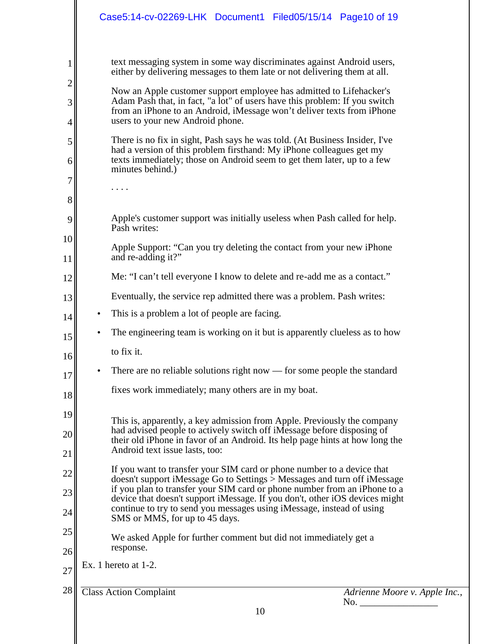|       | Case5:14-cv-02269-LHK Document1 Filed05/15/14 Page10 of 19                                                                                                                             |
|-------|----------------------------------------------------------------------------------------------------------------------------------------------------------------------------------------|
|       |                                                                                                                                                                                        |
|       | text messaging system in some way discriminates against Android users,<br>either by delivering messages to them late or not delivering them at all.                                    |
|       | Now an Apple customer support employee has admitted to Lifehacker's                                                                                                                    |
| 3     | Adam Pash that, in fact, "a lot" of users have this problem: If you switch<br>from an iPhone to an Android, iMessage won't deliver texts from iPhone                                   |
|       | users to your new Android phone.                                                                                                                                                       |
| 5     | There is no fix in sight, Pash says he was told. (At Business Insider, I've<br>had a version of this problem firsthand: My iPhone colleagues get my                                    |
| 6     | texts immediately; those on Android seem to get them later, up to a few<br>minutes behind.)                                                                                            |
|       |                                                                                                                                                                                        |
| $8\,$ |                                                                                                                                                                                        |
| 9     | Apple's customer support was initially useless when Pash called for help.<br>Pash writes:                                                                                              |
| 10    | Apple Support: "Can you try deleting the contact from your new iPhone                                                                                                                  |
| 11    | and re-adding it?"                                                                                                                                                                     |
| 12    | Me: "I can't tell everyone I know to delete and re-add me as a contact."                                                                                                               |
| 13    | Eventually, the service rep admitted there was a problem. Pash writes:                                                                                                                 |
| 14    | This is a problem a lot of people are facing.<br>$\bullet$                                                                                                                             |
| 15    | The engineering team is working on it but is apparently clueless as to how<br>$\bullet$                                                                                                |
| 16    | to fix it.                                                                                                                                                                             |
| 17    | There are no reliable solutions right now — for some people the standard                                                                                                               |
| 18    | fixes work immediately; many others are in my boat.                                                                                                                                    |
| 19    | This is, apparently, a key admission from Apple. Previously the company                                                                                                                |
| 20    | had advised people to actively switch off iMessage before disposing of<br>their old iPhone in favor of an Android. Its help page hints at how long the                                 |
| 21    | Android text issue lasts, too:                                                                                                                                                         |
| 22    | If you want to transfer your SIM card or phone number to a device that                                                                                                                 |
| 23    | doesn't support iMessage Go to Settings > Messages and turn off iMessage<br>if you plan to transfer your SIM card or phone number from an iPhone to a                                  |
| 24    | device that doesn't support iMessage. If you don't, other iOS devices might<br>continue to try to send you messages using iMessage, instead of using<br>SMS or MMS, for up to 45 days. |
| 25    | We asked Apple for further comment but did not immediately get a                                                                                                                       |
| 26    | response.                                                                                                                                                                              |
| 27    | Ex. 1 hereto at $1-2$ .                                                                                                                                                                |
| 28    | <b>Class Action Complaint</b><br>Adrienne Moore v. Apple Inc.,                                                                                                                         |
|       | No.<br>10                                                                                                                                                                              |

║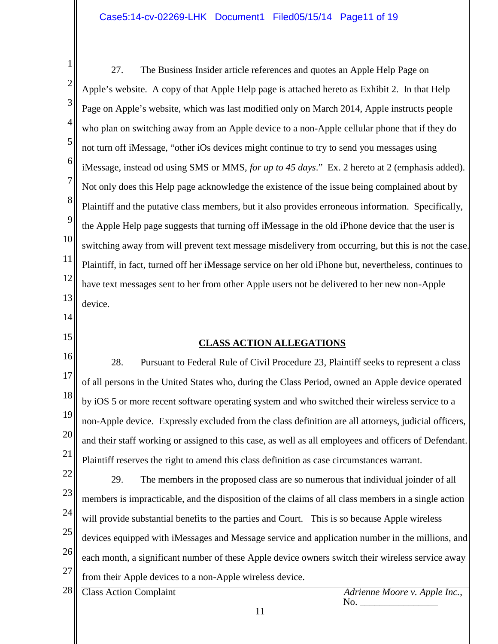1 <sup>2</sup> Apple's website. A copy of that Apple Help page is attached hereto as Exhibit 2. In that Help <sup>3</sup> Page on Apple's website, which was last modified only on March 2014, Apple instructs people <sup>4</sup> who plan on switching away from an Apple device to a non-Apple cellular phone that if they do 5 not turn off iMessage, "other iOs devices might continue to try to send you messages using 6 iMessage, instead od using SMS or MMS, *for up to 45 days*." Ex. 2 hereto at 2 (emphasis added). <sup>7</sup> Not only does this Help page acknowledge the existence of the issue being complained about by <sup>8</sup> Plaintiff and the putative class members, but it also provides erroneous information. Specifically, <sup>9</sup> the Apple Help page suggests that turning off iMessage in the old iPhone device that the user is <sup>10</sup> switching away from will prevent text message misdelivery from occurring, but this is not the case. <sup>11</sup> Plaintiff, in fact, turned off her iMessage service on her old iPhone but, nevertheless, continues to 12 have text messages sent to her from other Apple users not be delivered to her new non-Apple 13 device. 14 27. The Business Insider article references and quotes an Apple Help Page on

## **CLASS ACTION ALLEGATIONS**

16 <sup>17</sup> of all persons in the United States who, during the Class Period, owned an Apple device operated <sup>18</sup> by iOS 5 or more recent software operating system and who switched their wireless service to a 19 non-Apple device. Expressly excluded from the class definition are all attorneys, judicial officers, 20 21  $\parallel$  Plaintiff reserves the right to amend this class definition as case circumstances warrant. 28. Pursuant to Federal Rule of Civil Procedure 23, Plaintiff seeks to represent a class and their staff working or assigned to this case, as well as all employees and officers of Defendant.

22 23  $24 \parallel$  will provide substantial benefits to the parties and Court. This is so because Apple wireless 25 26 each month, a significant number of these Apple device owners switch their wireless service away 27 from their Apple devices to a non-Apple wireless device. 29. The members in the proposed class are so numerous that individual joinder of all members is impracticable, and the disposition of the claims of all class members in a single action devices equipped with iMessages and Message service and application number in the millions, and

15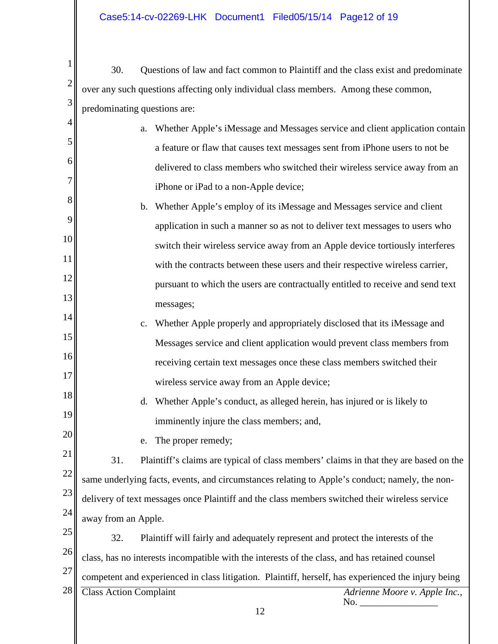1 <sup>2</sup> over any such questions affecting only individual class members. Among these common, 3 predominating questions are: 30. Questions of law and fact common to Plaintiff and the class exist and predominate

| 4 <sub>1</sub> | Whether Apple's iMessage and Messages service and client application contain<br>a.                  |  |  |  |
|----------------|-----------------------------------------------------------------------------------------------------|--|--|--|
| 5              | a feature or flaw that causes text messages sent from iPhone users to not be                        |  |  |  |
| 6              | delivered to class members who switched their wireless service away from an                         |  |  |  |
| 7              | iPhone or iPad to a non-Apple device;                                                               |  |  |  |
| $8\,$          | b. Whether Apple's employ of its iMessage and Messages service and client                           |  |  |  |
| 9              | application in such a manner so as not to deliver text messages to users who                        |  |  |  |
| 10             | switch their wireless service away from an Apple device tortiously interferes                       |  |  |  |
| 11             | with the contracts between these users and their respective wireless carrier,                       |  |  |  |
| 12             | pursuant to which the users are contractually entitled to receive and send text                     |  |  |  |
| 13             | messages;                                                                                           |  |  |  |
| 14             | Whether Apple properly and appropriately disclosed that its iMessage and<br>c.                      |  |  |  |
| 15             | Messages service and client application would prevent class members from                            |  |  |  |
| 16             | receiving certain text messages once these class members switched their                             |  |  |  |
| 17             | wireless service away from an Apple device;                                                         |  |  |  |
| 18             | d. Whether Apple's conduct, as alleged herein, has injured or is likely to                          |  |  |  |
| 19             | imminently injure the class members; and,                                                           |  |  |  |
| 20             | e. The proper remedy;                                                                               |  |  |  |
| 21             | 31.<br>Plaintiff's claims are typical of class members' claims in that they are based on the        |  |  |  |
| 22             | same underlying facts, events, and circumstances relating to Apple's conduct; namely, the non-      |  |  |  |
| 23             | delivery of text messages once Plaintiff and the class members switched their wireless service      |  |  |  |
| 24             | away from an Apple.                                                                                 |  |  |  |
| 25             | 32.<br>Plaintiff will fairly and adequately represent and protect the interests of the              |  |  |  |
| 26             | class, has no interests incompatible with the interests of the class, and has retained counsel      |  |  |  |
| 27             | competent and experienced in class litigation. Plaintiff, herself, has experienced the injury being |  |  |  |
| 28             | <b>Class Action Complaint</b><br>Adrienne Moore v. Apple Inc.,<br>No.                               |  |  |  |
|                | 12                                                                                                  |  |  |  |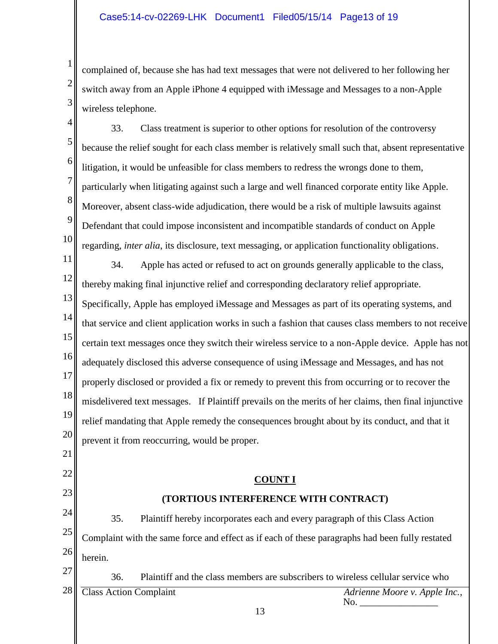<sup>1</sup> complained of, because she has had text messages that were not delivered to her following her <sup>2</sup> switch away from an Apple iPhone 4 equipped with iMessage and Messages to a non-Apple 3 wireless telephone.

 $4 \parallel$ <sup>5</sup> because the relief sought for each class member is relatively small such that, absent representative <sup>6</sup> iitigation, it would be unfeasible for class members to redress the wrongs done to them, <sup>7</sup> particularly when litigating against such a large and well financed corporate entity like Apple. 8 Moreover, absent class-wide adjudication, there would be a risk of multiple lawsuits against <sup>9</sup> Defendant that could impose inconsistent and incompatible standards of conduct on Apple 10 regarding, *inter alia*, its disclosure, text messaging, or application functionality obligations. 33. Class treatment is superior to other options for resolution of the controversy

11 <sup>12</sup> thereby making final injunctive relief and corresponding declaratory relief appropriate. 13 Specifically, Apple has employed iMessage and Messages as part of its operating systems, and 14 15 certain text messages once they switch their wireless service to a non-Apple device. Apple has not 16 adequately disclosed this adverse consequence of using iMessage and Messages, and has not 17 18 misdelivered text messages. If Plaintiff prevails on the merits of her claims, then final injunctive 19 relief mandating that Apple remedy the consequences brought about by its conduct, and that it 20 prevent it from reoccurring, would be proper. 34. Apple has acted or refused to act on grounds generally applicable to the class, that service and client application works in such a fashion that causes class members to not receive properly disclosed or provided a fix or remedy to prevent this from occurring or to recover the

## **COUNT I**

# **(TORTIOUS INTERFERENCE WITH CONTRACT)**

24  $25 \parallel$  Complaint with the same force and effect as if each of these paragraphs had been fully restated  $\begin{array}{|c|c|} \hline 26 & \text{herein.} \\\hline \end{array}$ 27 35. Plaintiff hereby incorporates each and every paragraph of this Class Action

36. Plaintiff and the class members are subscribers to wireless cellular service who

21

22

23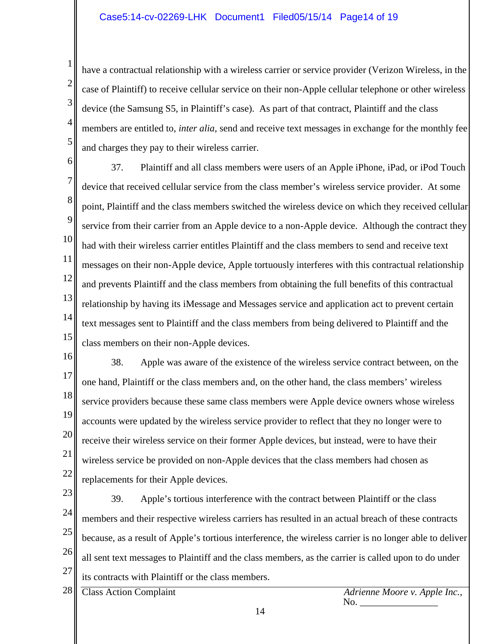<sup>1</sup> have a contractual relationship with a wireless carrier or service provider (Verizon Wireless, in the <sup>2</sup> case of Plaintiff) to receive cellular service on their non-Apple cellular telephone or other wireless <sup>3</sup> device (the Samsung S5, in Plaintiff's case). As part of that contract, Plaintiff and the class <sup>4</sup> members are entitled to, *inter alia*, send and receive text messages in exchange for the monthly fee 5 and charges they pay to their wireless carrier.

6 <sup>7</sup> device that received cellular service from the class member's wireless service provider. At some <sup>8</sup> point, Plaintiff and the class members switched the wireless device on which they received cellular  $9 \parallel$  service from their carrier from an Apple device to a non-Apple device. Although the contract they <sup>10</sup> had with their wireless carrier entitles Plaintiff and the class members to send and receive text <sup>11</sup> messages on their non-Apple device, Apple tortuously interferes with this contractual relationship <sup>12</sup> and prevents Plaintiff and the class members from obtaining the full benefits of this contractual <sup>13</sup> relationship by having its iMessage and Messages service and application act to prevent certain 14 15 37. Plaintiff and all class members were users of an Apple iPhone, iPad, or iPod Touch text messages sent to Plaintiff and the class members from being delivered to Plaintiff and the class members on their non-Apple devices.

16 <sup>17</sup> one hand, Plaintiff or the class members and, on the other hand, the class members' wireless 18 service providers because these same class members were Apple device owners whose wireless 19 accounts were updated by the wireless service provider to reflect that they no longer were to  $20 \parallel$  receive their wireless service on their former Apple devices, but instead, were to have their 21 wireless service be provided on non-Apple devices that the class members had chosen as 22 replacements for their Apple devices. 38. Apple was aware of the existence of the wireless service contract between, on the

- 23 <sup>24</sup> members and their respective wireless carriers has resulted in an actual breach of these contracts 25 26 all sent text messages to Plaintiff and the class members, as the carrier is called upon to do under <sup>27</sup> its contracts with Plaintiff or the class members. 39. Apple's tortious interference with the contract between Plaintiff or the class because, as a result of Apple's tortious interference, the wireless carrier is no longer able to deliver
-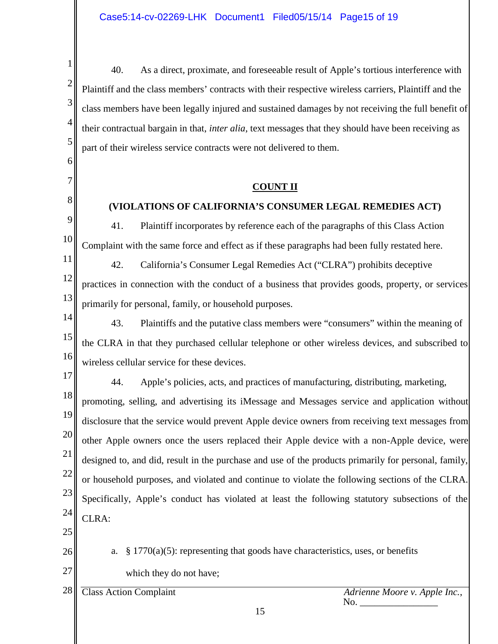1 <sup>2</sup> Plaintiff and the class members' contracts with their respective wireless carriers, Plaintiff and the <sup>3</sup> class members have been legally injured and sustained damages by not receiving the full benefit of  $\frac{4}{\pi}$  their contractual bargain in that, *inter alia*, text messages that they should have been receiving as <sup>5</sup> part of their wireless service contracts were not delivered to them. 40. As a direct, proximate, and foreseeable result of Apple's tortious interference with

### **COUNT II**

## **(VIOLATIONS OF CALIFORNIA'S CONSUMER LEGAL REMEDIES ACT)**

<sup>10</sup> Complaint with the same force and effect as if these paragraphs had been fully restated here. 41. Plaintiff incorporates by reference each of the paragraphs of this Class Action

11 <sup>12</sup> practices in connection with the conduct of a business that provides goods, property, or services 13 primarily for personal, family, or household purposes. 42. California's Consumer Legal Remedies Act ("CLRA") prohibits deceptive

14 15 16 wireless cellular service for these devices. 43. Plaintiffs and the putative class members were "consumers" within the meaning of the CLRA in that they purchased cellular telephone or other wireless devices, and subscribed to

17 18 promoting, selling, and advertising its iMessage and Messages service and application without <sup>19</sup> disclosure that the service would prevent Apple device owners from receiving text messages from 20 other Apple owners once the users replaced their Apple device with a non-Apple device, were  $21 \parallel$  designed to, and did, result in the purchase and use of the products primarily for personal, family,  $22 \parallel$  or household purposes, and violated and continue to violate the following sections of the CLRA.  $23$  Specifically, Apple's conduct has violated at least the following statutory subsections of the  $24$  CLRA: 25 44. Apple's policies, acts, and practices of manufacturing, distributing, marketing,

26

6

7

8

9

- a.  $§ 1770(a)(5)$ : representing that goods have characteristics, uses, or benefits
- 27

which they do not have;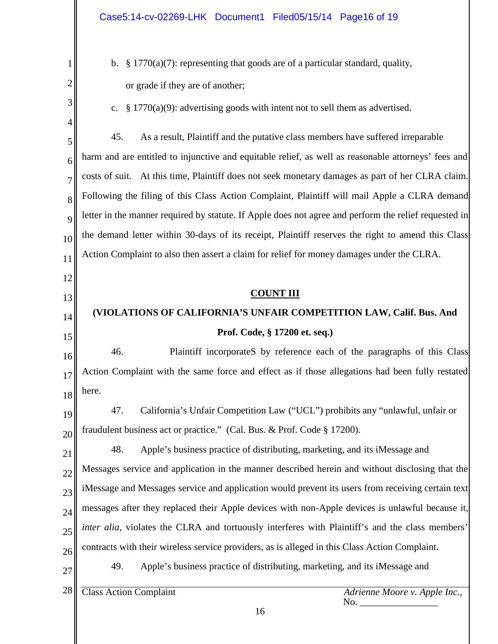- b.  $\S$  1770(a)(7): representing that goods are of a particular standard, quality, or grade if they are of another;
- c.  $\S 1770(a)(9)$ : advertising goods with intent not to sell them as advertised.

5 6 harm and are entitled to injunctive and equitable relief, as well as reasonable attorneys' fees and  $7\parallel$  costs of suit. At this time, Plaintiff does not seek monetary damages as part of her CLRA claim. 8 Following the filing of this Class Action Complaint, Plaintiff will mail Apple a CLRA demand 9 tetter in the manner required by statute. If Apple does not agree and perform the relief requested in 10 the demand letter within 30-days of its receipt, Plaintiff reserves the right to amend this Class 11 Action Complaint to also then assert a claim for relief for money damages under the CLRA. 45. As a result, Plaintiff and the putative class members have suffered irreparable

**COUNT III**

# **(VIOLATIONS OF CALIFORNIA'S UNFAIR COMPETITION LAW, Calif. Bus. And Prof. Code, § 17200 et. seq.)**

16 17 Action Complaint with the same force and effect as if those allegations had been fully restated 18 46. Plaintiff incorporateS by reference each of the paragraphs of this Class here.

19  $20 \parallel$  fraudulent business act or practice." (Cal. Bus. & Prof. Code § 17200). 47. California's Unfair Competition Law ("UCL") prohibits any "unlawful, unfair or

21  $22 \parallel$  Messages service and application in the manner described herein and without disclosing that the  $23$  iMessage and Messages service and application would prevent its users from receiving certain text  $24$  messages after they replaced their Apple devices with non-Apple devices is unlawful because it,  $25$  *inter alia*, violates the CLRA and tortuously interferes with Plaintiff's and the class members'  $26 \parallel$  contracts with their wireless service providers, as is alleged in this Class Action Complaint. 48. Apple's business practice of distributing, marketing, and its iMessage and

27

1

 $2 \parallel$ 

 $4 \parallel$ 

3

12

13

14

15

49. Apple's business practice of distributing, marketing, and its iMessage and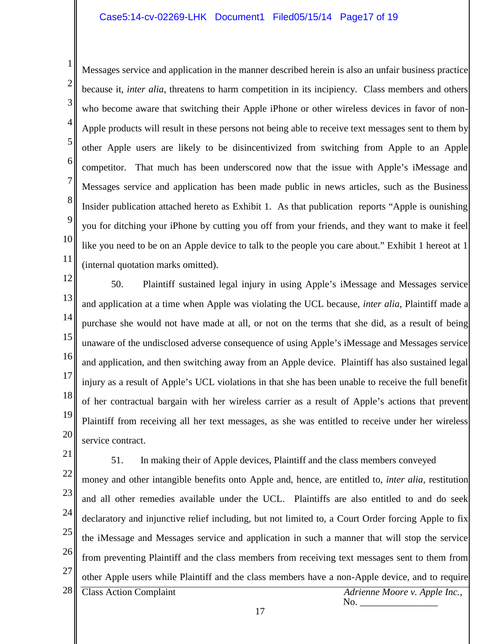#### Case5:14-cv-02269-LHK Document1 Filed05/15/14 Page17 of 19

<sup>1</sup> Messages service and application in the manner described herein is also an unfair business practice <sup>2</sup> because it, *inter alia*, threatens to harm competition in its incipiency. Class members and others <sup>3</sup> who become aware that switching their Apple iPhone or other wireless devices in favor of non-<sup>4</sup> Apple products will result in these persons not being able to receive text messages sent to them by <sup>5</sup> other Apple users are likely to be disincentivized from switching from Apple to an Apple <sup>6</sup> competitor. That much has been underscored now that the issue with Apple's iMessage and <sup>7</sup> Messages service and application has been made public in news articles, such as the Business <sup>8</sup> Insider publication attached hereto as Exhibit 1. As that publication reports "Apple is ounishing <sup>9</sup> you for ditching your iPhone by cutting you off from your friends, and they want to make it feel <sup>10</sup> like you need to be on an Apple device to talk to the people you care about." Exhibit 1 hereot at 1 11 (internal quotation marks omitted).

12 <sup>13</sup> and application at a time when Apple was violating the UCL because, *inter alia*, Plaintiff made a 14 15 unaware of the undisclosed adverse consequence of using Apple's iMessage and Messages service 16 and application, and then switching away from an Apple device. Plaintiff has also sustained legal  $\frac{17}{\text{min}}$  injury as a result of Apple's UCL violations in that she has been unable to receive the full benefit 18 of her contractual bargain with her wireless carrier as a result of Apple's actions that prevent <sup>19</sup> Plaintiff from receiving all her text messages, as she was entitled to receive under her wireless 20 service contract. 50. Plaintiff sustained legal injury in using Apple's iMessage and Messages service purchase she would not have made at all, or not on the terms that she did, as a result of being

21 22  $\|$  and all other remedies available under the UCL. Plaintiffs are also entitled to and do seek <sup>24</sup> declaratory and injunctive relief including, but not limited to, a Court Order forcing Apple to fix 25 26 from preventing Plaintiff and the class members from receiving text messages sent to them from <sup>27</sup> other Apple users while Plaintiff and the class members have a non-Apple device, and to require 51. In making their of Apple devices, Plaintiff and the class members conveyed money and other intangible benefits onto Apple and, hence, are entitled to, *inter alia*, restitution the iMessage and Messages service and application in such a manner that will stop the service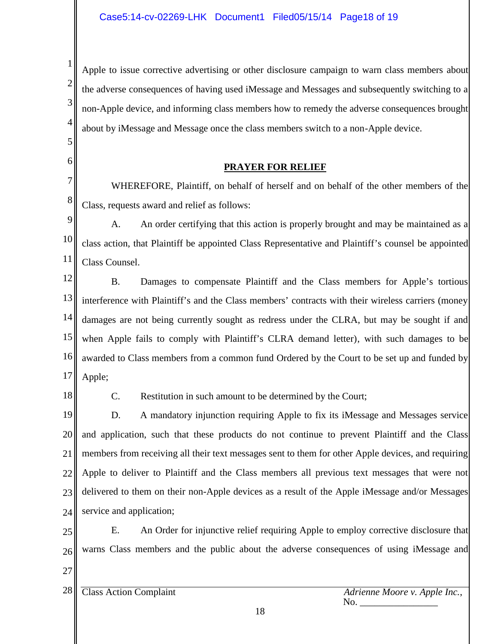<sup>1</sup> Apple to issue corrective advertising or other disclosure campaign to warn class members about <sup>2</sup> the adverse consequences of having used iMessage and Messages and subsequently switching to a <sup>3</sup> non-Apple device, and informing class members how to remedy the adverse consequences brought <sup>4</sup> about by iMessage and Message once the class members switch to a non-Apple device.

### **PRAYER FOR RELIEF**

8 Class, requests award and relief as follows: WHEREFORE, Plaintiff, on behalf of herself and on behalf of the other members of the

9 <sup>10</sup> class action, that Plaintiff be appointed Class Representative and Plaintiff's counsel be appointed  $11$  Class Counsel. A. An order certifying that this action is properly brought and may be maintained as a

12 <sup>13</sup> interference with Plaintiff's and the Class members' contracts with their wireless carriers (money 14 damages are not being currently sought as redress under the CLRA, but may be sought if and 15 when Apple fails to comply with Plaintiff's CLRA demand letter), with such damages to be 16 awarded to Class members from a common fund Ordered by the Court to be set up and funded by 17 Apple; B. Damages to compensate Plaintiff and the Class members for Apple's tortious

18

5

6

7

C. Restitution in such amount to be determined by the Court;

19 20 and application, such that these products do not continue to prevent Plaintiff and the Class 21 members from receiving all their text messages sent to them for other Apple devices, and requiring 22 Apple to deliver to Plaintiff and the Class members all previous text messages that were not 23|| delivered to them on their non-Apple devices as a result of the Apple iMessage and/or Messages 24 service and application; D. A mandatory injunction requiring Apple to fix its iMessage and Messages service

25 26 warns Class members and the public about the adverse consequences of using iMessage and E. An Order for injunctive relief requiring Apple to employ corrective disclosure that

27